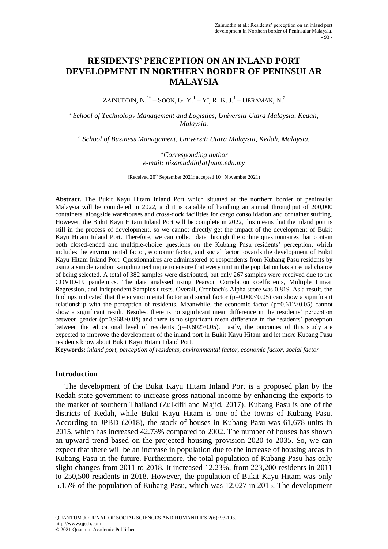# **RESIDENTS' PERCEPTION ON AN INLAND PORT DEVELOPMENT IN NORTHERN BORDER OF PENINSULAR MALAYSIA**

ZAINUDDIN, N. $^{1*}-$  Soon, G. Y. $^{1}-$  Yi, R. K. J. $^{1}-$  Deraman, N. $^{2}$ 

*<sup>1</sup>School of Technology Management and Logistics, Universiti Utara Malaysia, Kedah, Malaysia.*

*2 School of Business Managament, Universiti Utara Malaysia, Kedah, Malaysia.*

*\*Corresponding author e-mail: nizamuddin[at]uum.edu.my*

(Received  $20^{th}$  September 2021; accepted  $10^{th}$  November 2021)

**Abstract.** The Bukit Kayu Hitam Inland Port which situated at the northern border of peninsular Malaysia will be completed in 2022, and it is capable of handling an annual throughput of 200,000 containers, alongside warehouses and cross-dock facilities for cargo consolidation and container stuffing. However, the Bukit Kayu Hitam Inland Port will be complete in 2022, this means that the inland port is still in the process of development, so we cannot directly get the impact of the development of Bukit Kayu Hitam Inland Port. Therefore, we can collect data through the online questionnaires that contain both closed-ended and multiple-choice questions on the Kubang Pasu residents' perception, which includes the environmental factor, economic factor, and social factor towards the development of Bukit Kayu Hitam Inland Port. Questionnaires are administered to respondents from Kubang Pasu residents by using a simple random sampling technique to ensure that every unit in the population has an equal chance of being selected. A total of 382 samples were distributed, but only 267 samples were received due to the COVID-19 pandemics. The data analysed using Pearson Correlation coefficients, Multiple Linear Regression, and Independent Samples t-tests. Overall, Cronbach's Alpha score was 0.819. As a result, the findings indicated that the environmental factor and social factor  $(p=0.000<0.05)$  can show a significant relationship with the perception of residents. Meanwhile, the economic factor  $(p=0.612>0.05)$  cannot show a significant result. Besides, there is no significant mean difference in the residents' perception between gender (p=0.968>0.05) and there is no significant mean difference in the residents' perception between the educational level of residents  $(p=0.602>0.05)$ . Lastly, the outcomes of this study are expected to improve the development of the inland port in Bukit Kayu Hitam and let more Kubang Pasu residents know about Bukit Kayu Hitam Inland Port.

**Keywords**: *inland port, perception of residents, environmental factor, economic factor, social factor*

#### **Introduction**

The development of the Bukit Kayu Hitam Inland Port is a proposed plan by the Kedah state government to increase gross national income by enhancing the exports to the market of southern Thailand (Zulkifli and Majid, 2017). Kubang Pasu is one of the districts of Kedah, while Bukit Kayu Hitam is one of the towns of Kubang Pasu. According to JPBD (2018), the stock of houses in Kubang Pasu was 61,678 units in 2015, which has increased 42.73% compared to 2002. The number of houses has shown an upward trend based on the projected housing provision 2020 to 2035. So, we can expect that there will be an increase in population due to the increase of housing areas in Kubang Pasu in the future. Furthermore, the total population of Kubang Pasu has only slight changes from 2011 to 2018. It increased 12.23%, from 223,200 residents in 2011 to 250,500 residents in 2018. However, the population of Bukit Kayu Hitam was only 5.15% of the population of Kubang Pasu, which was 12,027 in 2015. The development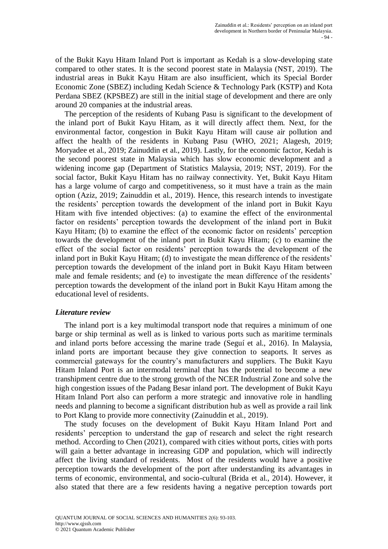of the Bukit Kayu Hitam Inland Port is important as Kedah is a slow-developing state compared to other states. It is the second poorest state in Malaysia (NST, 2019). The industrial areas in Bukit Kayu Hitam are also insufficient, which its Special Border Economic Zone (SBEZ) including Kedah Science & Technology Park (KSTP) and Kota Perdana SBEZ (KPSBEZ) are still in the initial stage of development and there are only around 20 companies at the industrial areas.

The perception of the residents of Kubang Pasu is significant to the development of the inland port of Bukit Kayu Hitam, as it will directly affect them. Next, for the environmental factor, congestion in Bukit Kayu Hitam will cause air pollution and affect the health of the residents in Kubang Pasu (WHO, 2021; Alagesh, 2019; Moryadee et al., 2019; Zainuddin et al., 2019). Lastly, for the economic factor, Kedah is the second poorest state in Malaysia which has slow economic development and a widening income gap (Department of Statistics Malaysia, 2019; NST, 2019). For the social factor, Bukit Kayu Hitam has no railway connectivity. Yet, Bukit Kayu Hitam has a large volume of cargo and competitiveness, so it must have a train as the main option (Aziz, 2019; Zainuddin et al., 2019). Hence, this research intends to investigate the residents' perception towards the development of the inland port in Bukit Kayu Hitam with five intended objectives: (a) to examine the effect of the environmental factor on residents' perception towards the development of the inland port in Bukit Kayu Hitam; (b) to examine the effect of the economic factor on residents' perception towards the development of the inland port in Bukit Kayu Hitam; (c) to examine the effect of the social factor on residents' perception towards the development of the inland port in Bukit Kayu Hitam; (d) to investigate the mean difference of the residents' perception towards the development of the inland port in Bukit Kayu Hitam between male and female residents; and (e) to investigate the mean difference of the residents' perception towards the development of the inland port in Bukit Kayu Hitam among the educational level of residents.

# *Literature review*

The inland port is a key multimodal transport node that requires a minimum of one barge or ship terminal as well as is linked to various ports such as maritime terminals and inland ports before accessing the marine trade (Seguí et al., 2016). In Malaysia, inland ports are important because they give connection to seaports. It serves as commercial gateways for the country's manufacturers and suppliers. The Bukit Kayu Hitam Inland Port is an intermodal terminal that has the potential to become a new transhipment centre due to the strong growth of the NCER Industrial Zone and solve the high congestion issues of the Padang Besar inland port. The development of Bukit Kayu Hitam Inland Port also can perform a more strategic and innovative role in handling needs and planning to become a significant distribution hub as well as provide a rail link to Port Klang to provide more connectivity (Zainuddin et al., 2019).

The study focuses on the development of Bukit Kayu Hitam Inland Port and residents' perception to understand the gap of research and select the right research method. According to Chen (2021), compared with cities without ports, cities with ports will gain a better advantage in increasing GDP and population, which will indirectly affect the living standard of residents. Most of the residents would have a positive perception towards the development of the port after understanding its advantages in terms of economic, environmental, and socio-cultural (Brida et al., 2014). However, it also stated that there are a few residents having a negative perception towards port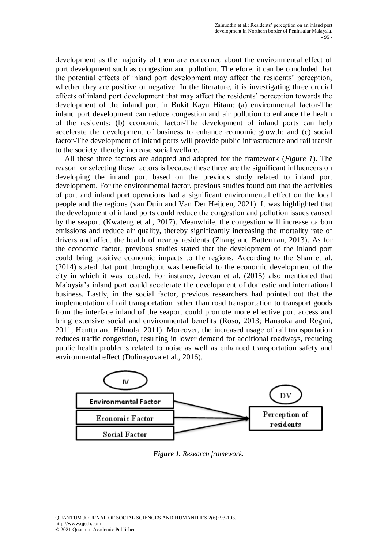development as the majority of them are concerned about the environmental effect of port development such as congestion and pollution. Therefore, it can be concluded that the potential effects of inland port development may affect the residents' perception, whether they are positive or negative. In the literature, it is investigating three crucial effects of inland port development that may affect the residents' perception towards the development of the inland port in Bukit Kayu Hitam: (a) environmental factor-The inland port development can reduce congestion and air pollution to enhance the health of the residents; (b) economic factor-The development of inland ports can help accelerate the development of business to enhance economic growth; and (c) social factor-The development of inland ports will provide public infrastructure and rail transit to the society, thereby increase social welfare.

All these three factors are adopted and adapted for the framework (*Figure 1*). The reason for selecting these factors is because these three are the significant influencers on developing the inland port based on the previous study related to inland port development. For the environmental factor, previous studies found out that the activities of port and inland port operations had a significant environmental effect on the local people and the regions (van Duin and Van Der Heijden, 2021). It was highlighted that the development of inland ports could reduce the congestion and pollution issues caused by the seaport (Kwateng et al., 2017). Meanwhile, the congestion will increase carbon emissions and reduce air quality, thereby significantly increasing the mortality rate of drivers and affect the health of nearby residents (Zhang and Batterman, 2013). As for the economic factor, previous studies stated that the development of the inland port could bring positive economic impacts to the regions. According to the Shan et al. (2014) stated that port throughput was beneficial to the economic development of the city in which it was located. For instance, Jeevan et al. (2015) also mentioned that Malaysia's inland port could accelerate the development of domestic and international business. Lastly, in the social factor, previous researchers had pointed out that the implementation of rail transportation rather than road transportation to transport goods from the interface inland of the seaport could promote more effective port access and bring extensive social and environmental benefits (Roso, 2013; Hanaoka and Regmi, 2011; Henttu and Hilmola, 2011). Moreover, the increased usage of rail transportation reduces traffic congestion, resulting in lower demand for additional roadways, reducing public health problems related to noise as well as enhanced transportation safety and environmental effect (Dolinayova et al., 2016).



*Figure 1. Research framework.*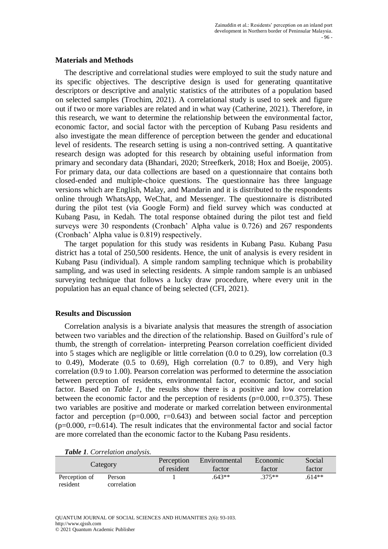## **Materials and Methods**

The descriptive and correlational studies were employed to suit the study nature and its specific objectives. The descriptive design is used for generating quantitative descriptors or descriptive and analytic statistics of the attributes of a population based on selected samples (Trochim, 2021). A correlational study is used to seek and figure out if two or more variables are related and in what way (Catherine, 2021). Therefore, in this research, we want to determine the relationship between the environmental factor, economic factor, and social factor with the perception of Kubang Pasu residents and also investigate the mean difference of perception between the gender and educational level of residents. The research setting is using a non-contrived setting. A quantitative research design was adopted for this research by obtaining useful information from primary and secondary data (Bhandari, 2020; Streefkerk, 2018; Hox and Boeije, 2005). For primary data, our data collections are based on a questionnaire that contains both closed-ended and multiple-choice questions. The questionnaire has three language versions which are English, Malay, and Mandarin and it is distributed to the respondents online through WhatsApp, WeChat, and Messenger. The questionnaire is distributed during the pilot test (via Google Form) and field survey which was conducted at Kubang Pasu, in Kedah. The total response obtained during the pilot test and field surveys were 30 respondents (Cronbach' Alpha value is 0.726) and 267 respondents (Cronbach' Alpha value is 0.819) respectively.

The target population for this study was residents in Kubang Pasu. Kubang Pasu district has a total of 250,500 residents. Hence, the unit of analysis is every resident in Kubang Pasu (individual). A simple random sampling technique which is probability sampling, and was used in selecting residents. A simple random sample is an unbiased surveying technique that follows a lucky draw procedure, where every unit in the population has an equal chance of being selected (CFI, 2021).

#### **Results and Discussion**

Correlation analysis is a bivariate analysis that measures the strength of association between two variables and the direction of the relationship. Based on Guilford's rule of thumb, the strength of correlation- interpreting Pearson correlation coefficient divided into 5 stages which are negligible or little correlation (0.0 to 0.29), low correlation (0.3 to  $0.49$ ), Moderate  $(0.5 \text{ to } 0.69)$ , High correlation  $(0.7 \text{ to } 0.89)$ , and Very high correlation (0.9 to 1.00). Pearson correlation was performed to determine the association between perception of residents, environmental factor, economic factor, and social factor. Based on *Table 1*, the results show there is a positive and low correlation between the economic factor and the perception of residents ( $p=0.000$ ,  $r=0.375$ ). These two variables are positive and moderate or marked correlation between environmental factor and perception  $(p=0.000, r=0.643)$  and between social factor and perception  $(p=0.000, r=0.614)$ . The result indicates that the environmental factor and social factor are more correlated than the economic factor to the Kubang Pasu residents.

|  |  | Table 1. Correlation analysis. |
|--|--|--------------------------------|
|  |  |                                |

|                           | Category              | Perception<br>of resident | Environmental<br>factor | Economic<br>factor | Social<br>factor |
|---------------------------|-----------------------|---------------------------|-------------------------|--------------------|------------------|
| Perception of<br>resident | Person<br>correlation |                           | $.643**$                | $.375**$           | $.614**$         |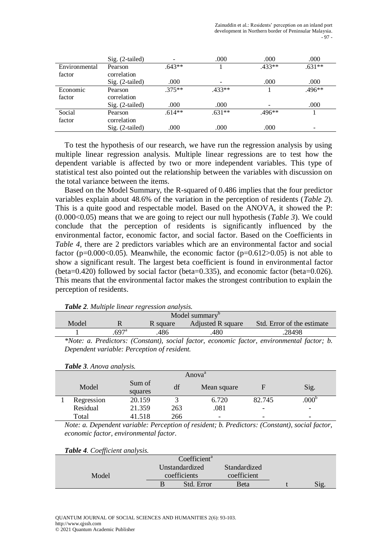|               | $Sig. (2-tailed)$ |          | .000     | .000     | .000     |
|---------------|-------------------|----------|----------|----------|----------|
| Environmental | Pearson           | $.643**$ |          | $.433**$ | $.631**$ |
| factor        | correlation       |          |          |          |          |
|               | Sig. (2-tailed)   | .000     |          | .000     | .000     |
| Economic      | Pearson           | $.375**$ | $.433**$ |          | $.496**$ |
| factor        | correlation       |          |          |          |          |
|               | $Sig. (2-tailed)$ | .000     | .000     |          | .000     |
| Social        | Pearson           | $.614**$ | $.631**$ | $.496**$ |          |
| factor        | correlation       |          |          |          |          |
|               | $Sig. (2-tailed)$ | .000     | .000     | .000     |          |

To test the hypothesis of our research, we have run the regression analysis by using multiple linear regression analysis. Multiple linear regressions are to test how the dependent variable is affected by two or more independent variables. This type of statistical test also pointed out the relationship between the variables with discussion on the total variance between the items.

Based on the Model Summary, the R-squared of 0.486 implies that the four predictor variables explain about 48.6% of the variation in the perception of residents (*Table 2*). This is a quite good and respectable model. Based on the ANOVA, it showed the P: (0.000<0.05) means that we are going to reject our null hypothesis (*Table 3*). We could conclude that the perception of residents is significantly influenced by the environmental factor, economic factor, and social factor. Based on the Coefficients in *Table 4*, there are 2 predictors variables which are an environmental factor and social factor ( $p=0.000<0.05$ ). Meanwhile, the economic factor ( $p=0.612>0.05$ ) is not able to show a significant result. The largest beta coefficient is found in environmental factor (beta=0.420) followed by social factor (beta=0.335), and economic factor (beta=0.026). This means that the environmental factor makes the strongest contribution to explain the perception of residents.

| <b>Table 2.</b> Multiple linear regression and ysis. |                  |          |                   |                                                                                            |  |  |  |  |  |
|------------------------------------------------------|------------------|----------|-------------------|--------------------------------------------------------------------------------------------|--|--|--|--|--|
| Model summary <sup>b</sup>                           |                  |          |                   |                                                                                            |  |  |  |  |  |
| Model                                                |                  | R square | Adjusted R square | Std. Error of the estimate                                                                 |  |  |  |  |  |
|                                                      | 697 <sup>a</sup> | .486     | .480              | .28498                                                                                     |  |  |  |  |  |
|                                                      |                  |          |                   | *Note: a. Predictors: (Constant), social factor, economic factor, environmental factor; b. |  |  |  |  |  |

*Table 2. Multiple linear regression analysis.*

*Dependent variable: Perception of resident.*

|  |  |  |  | Table 3. Anova analysis. |  |  |
|--|--|--|--|--------------------------|--|--|
|--|--|--|--|--------------------------|--|--|

|            |                   |     | Anova <sup>a</sup>       |                          |                   |
|------------|-------------------|-----|--------------------------|--------------------------|-------------------|
| Model      | Sum of<br>squares | df  | Mean square              |                          | Sig.              |
| Regression | 20.159            |     | 6.720                    | 82.745                   | .000 <sup>b</sup> |
| Residual   | 21.359            | 263 | .081                     | $\overline{\phantom{a}}$ |                   |
| Total      | 41.518            | 266 | $\overline{\phantom{a}}$ | $\overline{\phantom{0}}$ |                   |

*Note: a. Dependent variable: Perception of resident; b. Predictors: (Constant), social factor, economic factor, environmental factor.*

| Table 4. Coefficient analysis. |  |  |  |  |
|--------------------------------|--|--|--|--|
|--------------------------------|--|--|--|--|

|       | Coefficient <sup>a</sup> |              |      |
|-------|--------------------------|--------------|------|
|       | Unstandardized           | Standardized |      |
| Model | coefficients             | coefficient  |      |
|       | Std. Error               | Beta         | Sig. |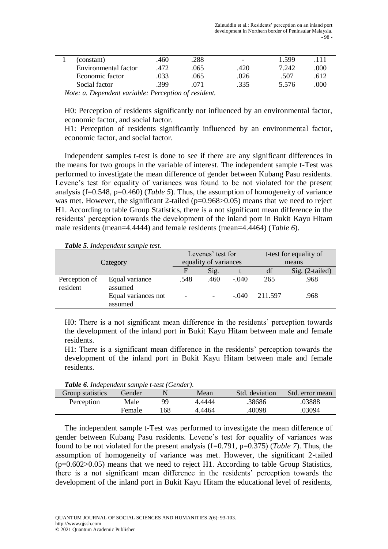|               | (constant)           | .460                                 | .288        | $\overline{\phantom{0}}$ | 1.599 | 111  |
|---------------|----------------------|--------------------------------------|-------------|--------------------------|-------|------|
|               | Environmental factor | .472                                 | .065        | .420                     | 7.242 | .000 |
|               | Economic factor      | 033                                  | .065        | .026                     | .507  | .612 |
|               | Social factor        | .399                                 | 071         | .335                     | 5.576 | .000 |
| $\sim$ $\sim$ | $\sim$               | $\cdots$<br>$\overline{\phantom{a}}$ | $\sim$<br>. |                          |       |      |

*Note: a. Dependent variable: Perception of resident.*

H0: Perception of residents significantly not influenced by an environmental factor, economic factor, and social factor.

H1: Perception of residents significantly influenced by an environmental factor, economic factor, and social factor.

Independent samples t-test is done to see if there are any significant differences in the means for two groups in the variable of interest. The independent sample t-Test was performed to investigate the mean difference of gender between Kubang Pasu residents. Levene's test for equality of variances was found to be not violated for the present analysis (f=0.548, p=0.460) (*Table 5*). Thus, the assumption of homogeneity of variance was met. However, the significant 2-tailed  $(p=0.968>0.05)$  means that we need to reject H1. According to table Group Statistics, there is a not significant mean difference in the residents' perception towards the development of the inland port in Bukit Kayu Hitam male residents (mean=4.4444) and female residents (mean=4.4464) (*Table 6*).

*Table 5. Independent sample test.*

|                           |                                |                          | Levenes' test for        |         |         | t-test for equality of |  |
|---------------------------|--------------------------------|--------------------------|--------------------------|---------|---------|------------------------|--|
| Category                  |                                | equality of variances    |                          |         |         | means                  |  |
|                           |                                | F                        | Sig.                     |         | df      | Sig. (2-tailed)        |  |
| Perception of<br>resident | Equal variance<br>assumed      | .548                     | .460                     | $-.040$ | 265     | .968                   |  |
|                           | Equal variances not<br>assumed | $\overline{\phantom{a}}$ | $\overline{\phantom{a}}$ | $-.040$ | 211.597 | .968                   |  |

H0: There is a not significant mean difference in the residents' perception towards the development of the inland port in Bukit Kayu Hitam between male and female residents.

H1: There is a significant mean difference in the residents' perception towards the development of the inland port in Bukit Kayu Hitam between male and female residents.

| <b>Table 0.</b> Independent sample t-test (Gender). |        |    |        |                |                 |
|-----------------------------------------------------|--------|----|--------|----------------|-----------------|
| Group statistics                                    | Gender |    | Mean   | Std. deviation | Std. error mean |
| Perception                                          | Male   | QQ | 4.4444 | .38686         | .03888          |
|                                                     | Female | 68 | 4.4464 | .40098         | .03094          |

*Table 6. Independent sample t-test (Gender).*

The independent sample t-Test was performed to investigate the mean difference of gender between Kubang Pasu residents. Levene's test for equality of variances was found to be not violated for the present analysis (f=0.791, p=0.375) (*Table 7*). Thus, the assumption of homogeneity of variance was met. However, the significant 2-tailed  $(p=0.602>0.05)$  means that we need to reject H1. According to table Group Statistics, there is a not significant mean difference in the residents' perception towards the development of the inland port in Bukit Kayu Hitam the educational level of residents,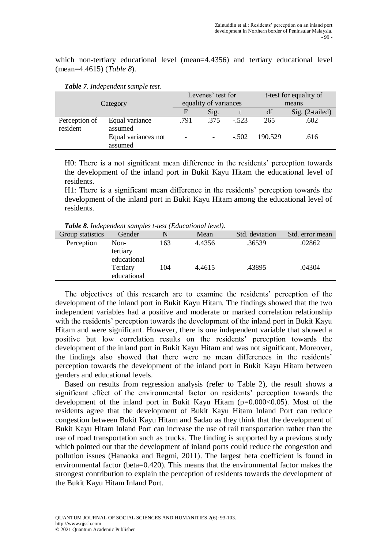which non-tertiary educational level (mean=4.4356) and tertiary educational level (mean=4.4615) (*Table 8*).

|                           |                                |                       | Levenes' test for |         |         | t-test for equality of |
|---------------------------|--------------------------------|-----------------------|-------------------|---------|---------|------------------------|
| Category                  |                                | equality of variances |                   |         | means   |                        |
|                           |                                | F                     | Sig.              |         | df      | $Sig. (2-tailed)$      |
| Perception of<br>resident | Equal variance<br>assumed      | .791                  | .375              | $-.523$ | 265     | .602                   |
|                           | Equal variances not<br>assumed |                       |                   | $-.502$ | 190.529 | .616                   |

*Table 7. Independent sample test.*

H0: There is a not significant mean difference in the residents' perception towards the development of the inland port in Bukit Kayu Hitam the educational level of residents.

H1: There is a significant mean difference in the residents' perception towards the development of the inland port in Bukit Kayu Hitam among the educational level of residents.

*Table 8. Independent samples t-test (Educational level).*

| Group statistics | Gender                          |     | Mean   | Std. deviation | Std. error mean |
|------------------|---------------------------------|-----|--------|----------------|-----------------|
| Perception       | Non-<br>tertiary<br>educational | 163 | 4.4356 | .36539         | .02862          |
|                  | Tertiaty<br>educational         | 104 | 4.4615 | .43895         | .04304          |

The objectives of this research are to examine the residents' perception of the development of the inland port in Bukit Kayu Hitam. The findings showed that the two independent variables had a positive and moderate or marked correlation relationship with the residents' perception towards the development of the inland port in Bukit Kayu Hitam and were significant. However, there is one independent variable that showed a positive but low correlation results on the residents' perception towards the development of the inland port in Bukit Kayu Hitam and was not significant. Moreover, the findings also showed that there were no mean differences in the residents' perception towards the development of the inland port in Bukit Kayu Hitam between genders and educational levels.

Based on results from regression analysis (refer to Table 2), the result shows a significant effect of the environmental factor on residents' perception towards the development of the inland port in Bukit Kayu Hitam  $(p=0.000<0.05)$ . Most of the residents agree that the development of Bukit Kayu Hitam Inland Port can reduce congestion between Bukit Kayu Hitam and Sadao as they think that the development of Bukit Kayu Hitam Inland Port can increase the use of rail transportation rather than the use of road transportation such as trucks. The finding is supported by a previous study which pointed out that the development of inland ports could reduce the congestion and pollution issues (Hanaoka and Regmi, 2011). The largest beta coefficient is found in environmental factor (beta=0.420). This means that the environmental factor makes the strongest contribution to explain the perception of residents towards the development of the Bukit Kayu Hitam Inland Port.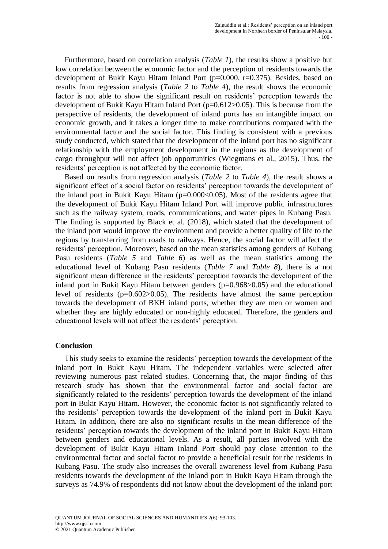Furthermore, based on correlation analysis (*Table 1*), the results show a positive but low correlation between the economic factor and the perception of residents towards the development of Bukit Kayu Hitam Inland Port (p=0.000, r=0.375). Besides, based on results from regression analysis (*Table 2* to *Table 4*), the result shows the economic factor is not able to show the significant result on residents' perception towards the development of Bukit Kayu Hitam Inland Port (p=0.612>0.05). This is because from the perspective of residents, the development of inland ports has an intangible impact on economic growth, and it takes a longer time to make contributions compared with the environmental factor and the social factor. This finding is consistent with a previous study conducted, which stated that the development of the inland port has no significant relationship with the employment development in the regions as the development of cargo throughput will not affect job opportunities (Wiegmans et al., 2015). Thus, the residents' perception is not affected by the economic factor.

Based on results from regression analysis (*Table 2* to *Table 4*), the result shows a significant effect of a social factor on residents' perception towards the development of the inland port in Bukit Kayu Hitam (p=0.000<0.05). Most of the residents agree that the development of Bukit Kayu Hitam Inland Port will improve public infrastructures such as the railway system, roads, communications, and water pipes in Kubang Pasu. The finding is supported by Black et al. (2018), which stated that the development of the inland port would improve the environment and provide a better quality of life to the regions by transferring from roads to railways. Hence, the social factor will affect the residents' perception. Moreover, based on the mean statistics among genders of Kubang Pasu residents (*Table 5* and *Table 6*) as well as the mean statistics among the educational level of Kubang Pasu residents (*Table 7* and *Table 8*), there is a not significant mean difference in the residents' perception towards the development of the inland port in Bukit Kayu Hitam between genders  $(p=0.968>0.05)$  and the educational level of residents ( $p=0.602>0.05$ ). The residents have almost the same perception towards the development of BKH inland ports, whether they are men or women and whether they are highly educated or non-highly educated. Therefore, the genders and educational levels will not affect the residents' perception.

#### **Conclusion**

This study seeks to examine the residents' perception towards the development of the inland port in Bukit Kayu Hitam. The independent variables were selected after reviewing numerous past related studies. Concerning that, the major finding of this research study has shown that the environmental factor and social factor are significantly related to the residents' perception towards the development of the inland port in Bukit Kayu Hitam. However, the economic factor is not significantly related to the residents' perception towards the development of the inland port in Bukit Kayu Hitam. In addition, there are also no significant results in the mean difference of the residents' perception towards the development of the inland port in Bukit Kayu Hitam between genders and educational levels. As a result, all parties involved with the development of Bukit Kayu Hitam Inland Port should pay close attention to the environmental factor and social factor to provide a beneficial result for the residents in Kubang Pasu. The study also increases the overall awareness level from Kubang Pasu residents towards the development of the inland port in Bukit Kayu Hitam through the surveys as 74.9% of respondents did not know about the development of the inland port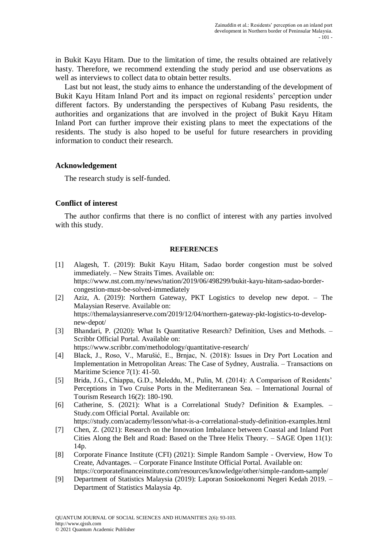in Bukit Kayu Hitam. Due to the limitation of time, the results obtained are relatively hasty. Therefore, we recommend extending the study period and use observations as well as interviews to collect data to obtain better results.

Last but not least, the study aims to enhance the understanding of the development of Bukit Kayu Hitam Inland Port and its impact on regional residents' perception under different factors. By understanding the perspectives of Kubang Pasu residents, the authorities and organizations that are involved in the project of Bukit Kayu Hitam Inland Port can further improve their existing plans to meet the expectations of the residents. The study is also hoped to be useful for future researchers in providing information to conduct their research.

## **Acknowledgement**

The research study is self-funded.

# **Conflict of interest**

The author confirms that there is no conflict of interest with any parties involved with this study.

#### **REFERENCES**

- [1] Alagesh, T. (2019): Bukit Kayu Hitam, Sadao border congestion must be solved immediately. – New Straits Times. Available on: https://www.nst.com.my/news/nation/2019/06/498299/bukit-kayu-hitam-sadao-bordercongestion-must-be-solved-immediately
- [2] Aziz, A. (2019): Northern Gateway, PKT Logistics to develop new depot. The Malaysian Reserve. Available on: https://themalaysianreserve.com/2019/12/04/northern-gateway-pkt-logistics-to-developnew-depot/
- [3] Bhandari, P. (2020): What Is Quantitative Research? Definition, Uses and Methods. Scribbr Official Portal. Available on:

https://www.scribbr.com/methodology/quantitative-research/

- [4] Black, J., Roso, V., Marušić, E., Brnjac, N. (2018): Issues in Dry Port Location and Implementation in Metropolitan Areas: The Case of Sydney, Australia. – Transactions on Maritime Science 7(1): 41-50.
- [5] Brida, J.G., Chiappa, G.D., Meleddu, M., Pulin, M. (2014): A Comparison of Residents' Perceptions in Two Cruise Ports in the Mediterranean Sea. – International Journal of Tourism Research 16(2): 180-190.
- [6] Catherine, S. (2021): What is a Correlational Study? Definition & Examples. Study.com Official Portal. Available on:

https://study.com/academy/lesson/what-is-a-correlational-study-definition-examples.html

- [7] Chen, Z. (2021): Research on the Innovation Imbalance between Coastal and Inland Port Cities Along the Belt and Road: Based on the Three Helix Theory. – SAGE Open 11(1): 14p.
- [8] Corporate Finance Institute (CFI) (2021): Simple Random Sample Overview, How To Create, Advantages. – Corporate Finance Institute Official Portal. Available on: https://corporatefinanceinstitute.com/resources/knowledge/other/simple-random-sample/
- [9] Department of Statistics Malaysia (2019): Laporan Sosioekonomi Negeri Kedah 2019. Department of Statistics Malaysia 4p.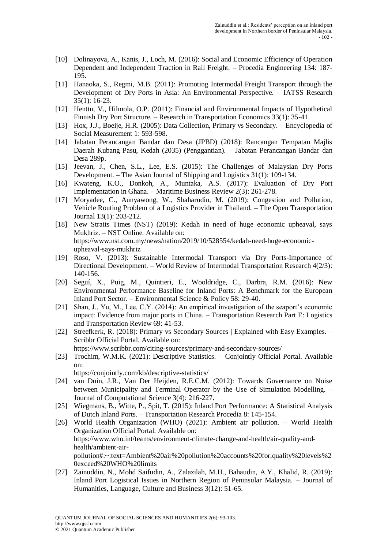- [10] Dolinayova, A., Kanis, J., Loch, M. (2016): Social and Economic Efficiency of Operation Dependent and Independent Traction in Rail Freight. – Procedia Engineering 134: 187- 195.
- [11] Hanaoka, S., Regmi, M.B. (2011): Promoting Intermodal Freight Transport through the Development of Dry Ports in Asia: An Environmental Perspective. – IATSS Research 35(1): 16-23.
- [12] Henttu, V., Hilmola, O.P. (2011): Financial and Environmental Impacts of Hypothetical Finnish Dry Port Structure. – Research in Transportation Economics 33(1): 35-41.
- [13] Hox, J.J., Boeije, H.R. (2005): Data Collection, Primary vs Secondary. Encyclopedia of Social Measurement 1: 593-598.
- [14] Jabatan Perancangan Bandar dan Desa (JPBD) (2018): Rancangan Tempatan Majlis Daerah Kubang Pasu, Kedah (2035) (Penggantian). – Jabatan Perancangan Bandar dan Desa 289p.
- [15] Jeevan, J., Chen, S.L., Lee, E.S. (2015): The Challenges of Malaysian Dry Ports Development. – The Asian Journal of Shipping and Logistics 31(1): 109-134.
- [16] Kwateng, K.O., Donkoh, A., Muntaka, A.S. (2017): Evaluation of Dry Port Implementation in Ghana. – Maritime Business Review 2(3): 261-278.
- [17] Moryadee, C., Aunyawong, W., Shaharudin, M. (2019): Congestion and Pollution, Vehicle Routing Problem of a Logistics Provider in Thailand. – The Open Transportation Journal 13(1): 203-212.
- [18] New Straits Times (NST) (2019): Kedah in need of huge economic upheaval, says Mukhriz. – NST Online. Available on: https://www.nst.com.my/news/nation/2019/10/528554/kedah-need-huge-economicupheaval-says-mukhriz
- [19] Roso, V. (2013): Sustainable Intermodal Transport via Dry Ports-Importance of Directional Development. – World Review of Intermodal Transportation Research 4(2/3): 140-156.
- [20] Seguí, X., Puig, M., Quintieri, E., Wooldridge, C., Darbra, R.M. (2016): New Environmental Performance Baseline for Inland Ports: A Benchmark for the European Inland Port Sector. – Environmental Science & Policy 58: 29-40.
- [21] Shan, J., Yu, M., Lee, C.Y. (2014): An empirical investigation of the seaport's economic impact: Evidence from major ports in China. – Transportation Research Part E: Logistics and Transportation Review 69: 41-53.
- [22] Streefkerk, R. (2018): Primary vs Secondary Sources | Explained with Easy Examples. Scribbr Official Portal. Available on: https://www.scribbr.com/citing-sources/primary-and-secondary-sources/
- [23] Trochim, W.M.K. (2021): Descriptive Statistics. Conjointly Official Portal. Available on:

https://conjointly.com/kb/descriptive-statistics/

- [24] van Duin, J.R., Van Der Heijden, R.E.C.M. (2012): Towards Governance on Noise between Municipality and Terminal Operator by the Use of Simulation Modelling. – Journal of Computational Science 3(4): 216-227.
- [25] Wiegmans, B., Witte, P., Spit, T. (2015): Inland Port Performance: A Statistical Analysis of Dutch Inland Ports. – Transportation Research Procedia 8: 145-154.
- [26] World Health Organization (WHO) (2021): Ambient air pollution. World Health Organization Official Portal. Available on: https://www.who.int/teams/environment-climate-change-and-health/air-quality-andhealth/ambient-airpollution#:~:text=Ambient%20air%20pollution%20accounts%20for,quality%20levels%2 0exceed%20WHO%20limits
- [27] Zainuddin, N., Mohd Saifudin, A., Zalazilah, M.H., Bahaudin, A.Y., Khalid, R. (2019): Inland Port Logistical Issues in Northern Region of Peninsular Malaysia. – Journal of Humanities, Language, Culture and Business 3(12): 51-65.